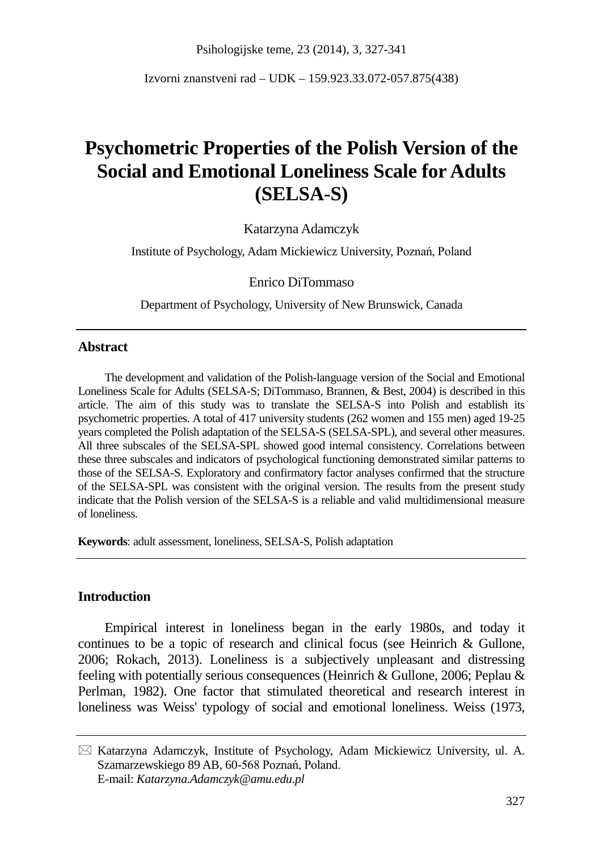Psihologijske teme, 23 (2014), 3, 327-341

Izvorni znanstveni rad – UDK – 159.923.33.072-057.875(438)

# **Psychometric Properties of the Polish Version of the Social and Emotional Loneliness Scale for Adults (SELSA-S)**

Katarzyna Adamczyk

Institute of Psychology, Adam Mickiewicz University, Poznań, Poland

Enrico DiTommaso

Department of Psychology, University of New Brunswick, Canada

## **Abstract**

The development and validation of the Polish-language version of the Social and Emotional Loneliness Scale for Adults (SELSA-S; DiTommaso, Brannen, & Best, 2004) is described in this article. The aim of this study was to translate the SELSA-S into Polish and establish its psychometric properties. A total of 417 university students (262 women and 155 men) aged 19-25 years completed the Polish adaptation of the SELSA-S (SELSA-SPL), and several other measures. All three subscales of the SELSA-SPL showed good internal consistency. Correlations between these three subscales and indicators of psychological functioning demonstrated similar patterns to those of the SELSA-S. Exploratory and confirmatory factor analyses confirmed that the structure of the SELSA-SPL was consistent with the original version. The results from the present study indicate that the Polish version of the SELSA-S is a reliable and valid multidimensional measure of loneliness.

**Keywords**: adult assessment, loneliness, SELSA-S, Polish adaptation

## **Introduction**

Empirical interest in loneliness began in the early 1980s, and today it continues to be a topic of research and clinical focus (see Heinrich & Gullone, 2006; Rokach, 2013). Loneliness is a subjectively unpleasant and distressing feeling with potentially serious consequences (Heinrich & Gullone, 2006; Peplau & Perlman, 1982). One factor that stimulated theoretical and research interest in loneliness was Weiss' typology of social and emotional loneliness. Weiss (1973,

 $\boxtimes$  Katarzyna Adamczyk, Institute of Psychology, Adam Mickiewicz University, ul. A. Szamarzewskiego 89 AB, 60-568 Poznań, Poland. E-mail: *Katarzyna.Adamczyk@amu.edu.pl*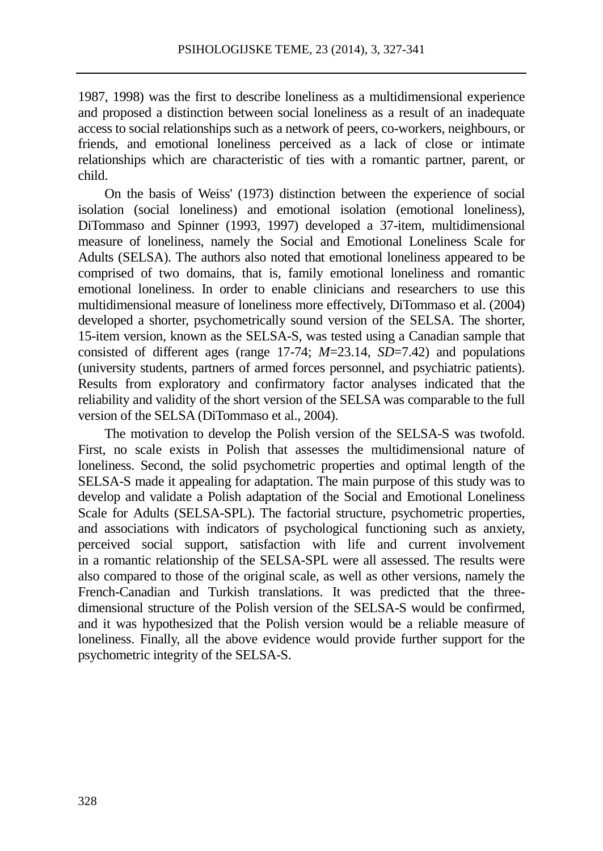1987, 1998) was the first to describe loneliness as a multidimensional experience and proposed a distinction between social loneliness as a result of an inadequate access to social relationships such as a network of peers, co-workers, neighbours, or friends, and emotional loneliness perceived as a lack of close or intimate relationships which are characteristic of ties with a romantic partner, parent, or child.

On the basis of Weiss' (1973) distinction between the experience of social isolation (social loneliness) and emotional isolation (emotional loneliness), DiTommaso and Spinner (1993, 1997) developed a 37-item, multidimensional measure of loneliness, namely the Social and Emotional Loneliness Scale for Adults (SELSA). The authors also noted that emotional loneliness appeared to be comprised of two domains, that is, family emotional loneliness and romantic emotional loneliness. In order to enable clinicians and researchers to use this multidimensional measure of loneliness more effectively, DiTommaso et al. (2004) developed a shorter, psychometrically sound version of the SELSA. The shorter, 15-item version, known as the SELSA-S, was tested using a Canadian sample that consisted of different ages (range 17-74; *M*=23.14, *SD*=7.42) and populations (university students, partners of armed forces personnel, and psychiatric patients). Results from exploratory and confirmatory factor analyses indicated that the reliability and validity of the short version of the SELSA was comparable to the full version of the SELSA (DiTommaso et al., 2004).

The motivation to develop the Polish version of the SELSA-S was twofold. First, no scale exists in Polish that assesses the multidimensional nature of loneliness. Second, the solid psychometric properties and optimal length of the SELSA-S made it appealing for adaptation. The main purpose of this study was to develop and validate a Polish adaptation of the Social and Emotional Loneliness Scale for Adults (SELSA-SPL). The factorial structure, psychometric properties, and associations with indicators of psychological functioning such as anxiety, perceived social support, satisfaction with life and current involvement in a romantic relationship of the SELSA-SPL were all assessed. The results were also compared to those of the original scale, as well as other versions, namely the French-Canadian and Turkish translations. It was predicted that the threedimensional structure of the Polish version of the SELSA-S would be confirmed, and it was hypothesized that the Polish version would be a reliable measure of loneliness. Finally, all the above evidence would provide further support for the psychometric integrity of the SELSA-S.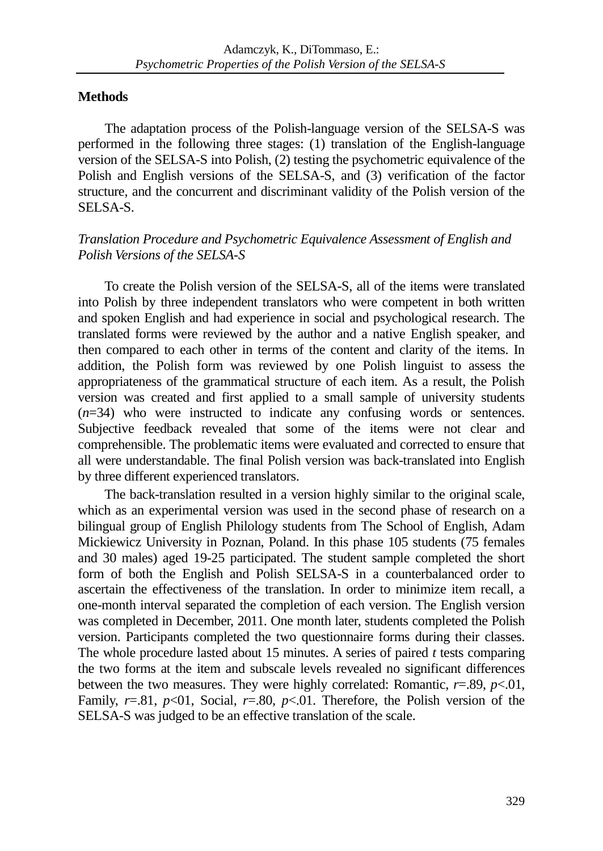## **Methods**

The adaptation process of the Polish-language version of the SELSA-S was performed in the following three stages: (1) translation of the English-language version of the SELSA-S into Polish, (2) testing the psychometric equivalence of the Polish and English versions of the SELSA-S, and (3) verification of the factor structure, and the concurrent and discriminant validity of the Polish version of the SELSA-S.

## *Translation Procedure and Psychometric Equivalence Assessment of English and Polish Versions of the SELSA-S*

To create the Polish version of the SELSA-S, all of the items were translated into Polish by three independent translators who were competent in both written and spoken English and had experience in social and psychological research. The translated forms were reviewed by the author and a native English speaker, and then compared to each other in terms of the content and clarity of the items. In addition, the Polish form was reviewed by one Polish linguist to assess the appropriateness of the grammatical structure of each item. As a result, the Polish version was created and first applied to a small sample of university students (*n*=34) who were instructed to indicate any confusing words or sentences. Subjective feedback revealed that some of the items were not clear and comprehensible. The problematic items were evaluated and corrected to ensure that all were understandable. The final Polish version was back-translated into English by three different experienced translators.

The back-translation resulted in a version highly similar to the original scale, which as an experimental version was used in the second phase of research on a bilingual group of English Philology students from The School of English, Adam Mickiewicz University in Poznan, Poland. In this phase 105 students (75 females and 30 males) aged 19-25 participated. The student sample completed the short form of both the English and Polish SELSA-S in a counterbalanced order to ascertain the effectiveness of the translation. In order to minimize item recall, a one-month interval separated the completion of each version. The English version was completed in December, 2011. One month later, students completed the Polish version. Participants completed the two questionnaire forms during their classes. The whole procedure lasted about 15 minutes. A series of paired *t* tests comparing the two forms at the item and subscale levels revealed no significant differences between the two measures. They were highly correlated: Romantic,  $r=0.89$ ,  $p<0.01$ , Family,  $r=.81$ ,  $p<01$ , Social,  $r=.80$ ,  $p<01$ . Therefore, the Polish version of the SELSA-S was judged to be an effective translation of the scale.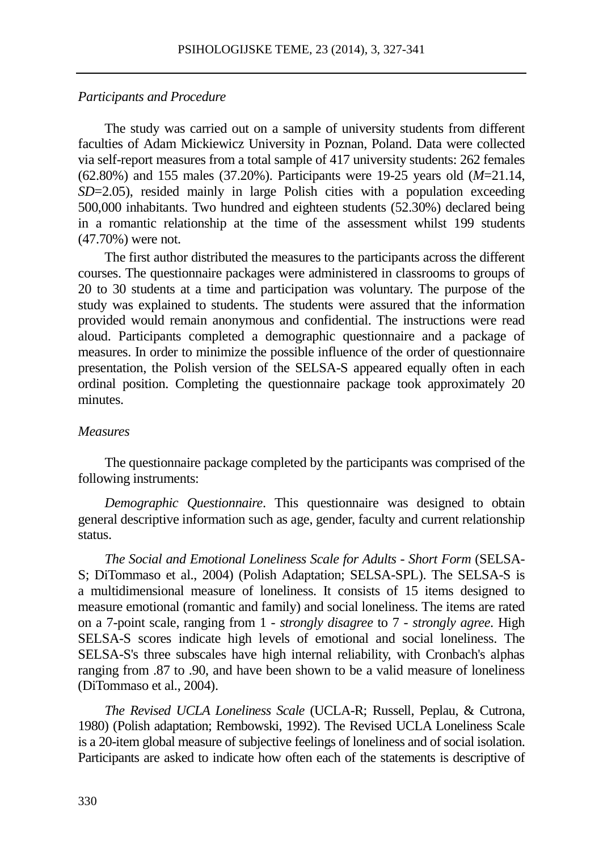#### *Participants and Procedure*

The study was carried out on a sample of university students from different faculties of Adam Mickiewicz University in Poznan, Poland. Data were collected via self-report measures from a total sample of 417 university students: 262 females (62.80%) and 155 males (37.20%). Participants were 19-25 years old (*M*=21.14, *SD*=2.05), resided mainly in large Polish cities with a population exceeding 500,000 inhabitants. Two hundred and eighteen students (52.30%) declared being in a romantic relationship at the time of the assessment whilst 199 students (47.70%) were not.

The first author distributed the measures to the participants across the different courses. The questionnaire packages were administered in classrooms to groups of 20 to 30 students at a time and participation was voluntary. The purpose of the study was explained to students. The students were assured that the information provided would remain anonymous and confidential. The instructions were read aloud. Participants completed a demographic questionnaire and a package of measures. In order to minimize the possible influence of the order of questionnaire presentation, the Polish version of the SELSA-S appeared equally often in each ordinal position. Completing the questionnaire package took approximately 20 minutes.

## *Measures*

The questionnaire package completed by the participants was comprised of the following instruments:

*Demographic Questionnaire*. This questionnaire was designed to obtain general descriptive information such as age, gender, faculty and current relationship status.

*The Social and Emotional Loneliness Scale for Adults - Short Form* (SELSA-S; DiTommaso et al., 2004) (Polish Adaptation; SELSA-SPL). The SELSA-S is a multidimensional measure of loneliness. It consists of 15 items designed to measure emotional (romantic and family) and social loneliness. The items are rated on a 7-point scale, ranging from 1 *- strongly disagree* to 7 *- strongly agree*. High SELSA-S scores indicate high levels of emotional and social loneliness. The SELSA-S's three subscales have high internal reliability, with Cronbach's alphas ranging from .87 to .90, and have been shown to be a valid measure of loneliness (DiTommaso et al., 2004).

*The Revised UCLA Loneliness Scale* (UCLA-R; Russell, Peplau, & Cutrona, 1980) (Polish adaptation; Rembowski, 1992). The Revised UCLA Loneliness Scale is a 20-item global measure of subjective feelings of loneliness and of social isolation. Participants are asked to indicate how often each of the statements is descriptive of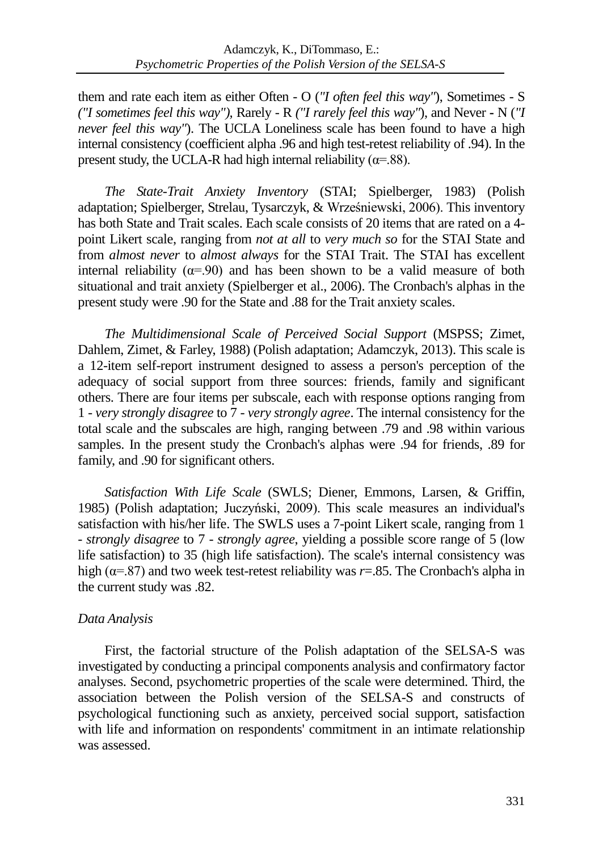them and rate each item as either Often - O (*"I often feel this way"*), Sometimes - S *("I sometimes feel this way"),* Rarely - R *("I rarely feel this way"*), and Never **-** N (*"I never feel this way"*). The UCLA Loneliness scale has been found to have a high internal consistency (coefficient alpha .96 and high test-retest reliability of .94). In the present study, the UCLA-R had high internal reliability ( $\alpha$ =.88).

*The State-Trait Anxiety Inventory* (STAI; Spielberger, 1983) (Polish adaptation; Spielberger, Strelau, Tysarczyk, & Wrześniewski, 2006). This inventory has both State and Trait scales. Each scale consists of 20 items that are rated on a 4 point Likert scale, ranging from *not at all* to *very much so* for the STAI State and from *almost never* to *almost always* for the STAI Trait. The STAI has excellent internal reliability ( $\alpha$ =.90) and has been shown to be a valid measure of both situational and trait anxiety (Spielberger et al., 2006). The Cronbach's alphas in the present study were .90 for the State and .88 for the Trait anxiety scales.

*The Multidimensional Scale of Perceived Social Support* (MSPSS; Zimet, Dahlem, Zimet, & Farley, 1988) (Polish adaptation; Adamczyk, 2013). This scale is a 12-item self-report instrument designed to assess a person's perception of the adequacy of social support from three sources: friends, family and significant others. There are four items per subscale, each with response options ranging from 1 - *very strongly disagree* to 7 - *very strongly agree*. The internal consistency for the total scale and the subscales are high, ranging between .79 and .98 within various samples. In the present study the Cronbach's alphas were .94 for friends, .89 for family, and .90 for significant others.

*Satisfaction With Life Scale* (SWLS; Diener, Emmons, Larsen, & Griffin, 1985) (Polish adaptation; Juczyński, 2009). This scale measures an individual's satisfaction with his/her life. The SWLS uses a 7-point Likert scale, ranging from 1 - *strongly disagree* to 7 - *strongly agree*, yielding a possible score range of 5 (low life satisfaction) to 35 (high life satisfaction). The scale's internal consistency was high (α=.87) and two week test-retest reliability was *r*=.85. The Cronbach's alpha in the current study was .82.

## *Data Analysis*

First, the factorial structure of the Polish adaptation of the SELSA-S was investigated by conducting a principal components analysis and confirmatory factor analyses. Second, psychometric properties of the scale were determined. Third, the association between the Polish version of the SELSA-S and constructs of psychological functioning such as anxiety, perceived social support, satisfaction with life and information on respondents' commitment in an intimate relationship was assessed.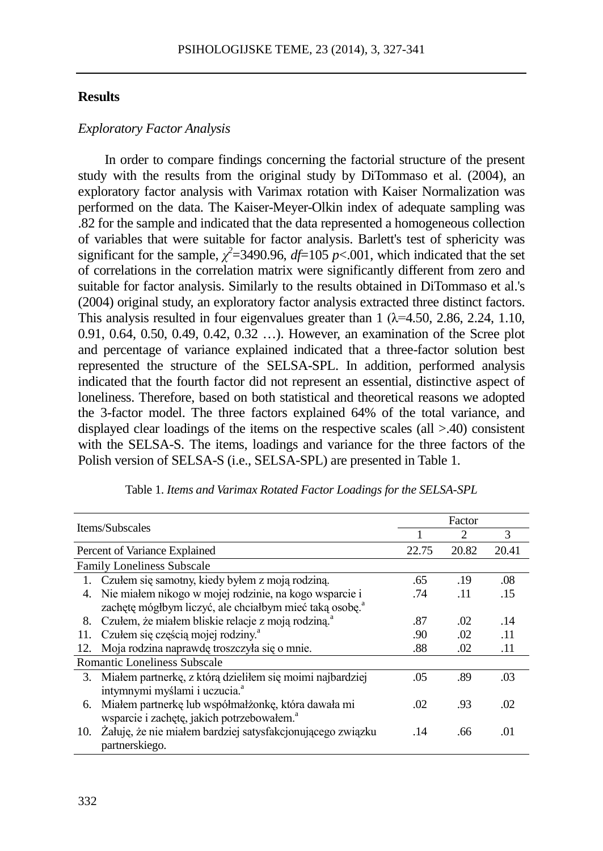## **Results**

## *Exploratory Factor Analysis*

In order to compare findings concerning the factorial structure of the present study with the results from the original study by DiTommaso et al. (2004), an exploratory factor analysis with Varimax rotation with Kaiser Normalization was performed on the data. The Kaiser-Meyer-Olkin index of adequate sampling was .82 for the sample and indicated that the data represented a homogeneous collection of variables that were suitable for factor analysis. Barlett's test of sphericity was significant for the sample,  $\chi^2$ =3490.96, *df*=105 *p*<.001, which indicated that the set of correlations in the correlation matrix were significantly different from zero and suitable for factor analysis. Similarly to the results obtained in DiTommaso et al.'s (2004) original study, an exploratory factor analysis extracted three distinct factors. This analysis resulted in four eigenvalues greater than  $1 \times 4.50$ ,  $2.86$ ,  $2.24$ ,  $1.10$ , 0.91, 0.64, 0.50, 0.49, 0.42, 0.32 …). However, an examination of the Scree plot and percentage of variance explained indicated that a three-factor solution best represented the structure of the SELSA-SPL. In addition, performed analysis indicated that the fourth factor did not represent an essential, distinctive aspect of loneliness. Therefore, based on both statistical and theoretical reasons we adopted the 3-factor model. The three factors explained 64% of the total variance, and displayed clear loadings of the items on the respective scales (all >.40) consistent with the SELSA-S. The items, loadings and variance for the three factors of the Polish version of SELSA-S (i.e., SELSA-SPL) are presented in Table 1.

|     | Items/Subscales                                                     | Factor |                |       |  |
|-----|---------------------------------------------------------------------|--------|----------------|-------|--|
|     |                                                                     |        | $\mathfrak{D}$ | 3     |  |
|     | Percent of Variance Explained                                       | 22.75  | 20.82          | 20.41 |  |
|     | <b>Family Loneliness Subscale</b>                                   |        |                |       |  |
|     | 1. Czułem się samotny, kiedy byłem z moją rodziną.                  | .65    | .19            | .08   |  |
| 4.  | Nie miałem nikogo w mojej rodzinie, na kogo wsparcie i              | .74    | .11            | .15   |  |
|     | zachętę mógłbym liczyć, ale chciałbym mieć taką osobę. <sup>a</sup> |        |                |       |  |
| 8.  | Czułem, że miałem bliskie relacje z moją rodziną. <sup>a</sup>      | .87    | .02            | .14   |  |
| 11. | Czułem się częścią mojej rodziny. <sup>a</sup>                      | .90    | .02            | .11   |  |
| 12. | Moja rodzina naprawdę troszczyła się o mnie.                        | .88    | .02            | .11   |  |
|     | Romantic Loneliness Subscale                                        |        |                |       |  |
| 3.  | Miałem partnerkę, z którą dzieliłem się moimi najbardziej           | .05    | .89            | .03   |  |
|     | intymnymi myślami i uczucia. <sup>a</sup>                           |        |                |       |  |
| 6.  | Miałem partnerkę lub współmałżonkę, która dawała mi                 | .02    | .93            | .02   |  |
|     | wsparcie i zachętę, jakich potrzebowałem. <sup>a</sup>              |        |                |       |  |
| 10. | Żałuję, że nie miałem bardziej satysfakcjonującego związku          | .14    | .66            | .01   |  |
|     | partnerskiego.                                                      |        |                |       |  |

Table 1. *Items and Varimax Rotated Factor Loadings for the SELSA-SPL*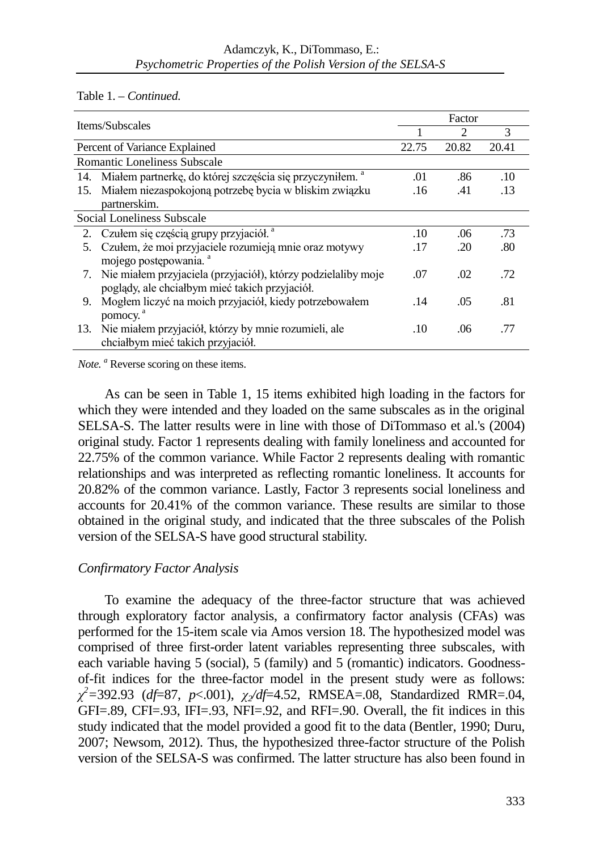Table 1. – *Continued.*

|     | Items/Subscales                                                          | Factor |                |       |  |
|-----|--------------------------------------------------------------------------|--------|----------------|-------|--|
|     |                                                                          |        | $\mathfrak{D}$ | 3     |  |
|     | Percent of Variance Explained                                            | 22.75  | 20.82          | 20.41 |  |
|     | <b>Romantic Loneliness Subscale</b>                                      |        |                |       |  |
|     | 14. Miałem partnerkę, do której szczęścia się przyczyniłem. <sup>a</sup> | .01    | .86            | .10   |  |
| 15. | Miałem niezaspokojoną potrzebę bycia w bliskim związku                   | .16    | .41            | .13   |  |
|     | partnerskim.                                                             |        |                |       |  |
|     | Social Loneliness Subscale                                               |        |                |       |  |
| 2.  | Czułem się częścią grupy przyjaciół. <sup>a</sup>                        | .10    | .06            | .73   |  |
| 5.  | Czułem, że moi przyjaciele rozumieją mnie oraz motywy                    | .17    | 20             | .80   |  |
|     | mojego postępowania. <sup>a</sup>                                        |        |                |       |  |
| 7.  | Nie miałem przyjaciela (przyjaciół), którzy podzielaliby moje            | .07    | .02            | .72   |  |
|     | poglądy, ale chciałbym mieć takich przyjaciół.                           |        |                |       |  |
| 9.  | Mogłem liczyć na moich przyjaciół, kiedy potrzebowałem                   | .14    | .05            | .81   |  |
|     | pomocy. <sup>a</sup>                                                     |        |                |       |  |
| 13. | Nie miałem przyjaciół, którzy by mnie rozumieli, ale                     | .10    | .06            | .77   |  |
|     | chciałbym mieć takich przyjaciół.                                        |        |                |       |  |

*Note.* <sup>*a*</sup> Reverse scoring on these items.

As can be seen in Table 1, 15 items exhibited high loading in the factors for which they were intended and they loaded on the same subscales as in the original SELSA-S. The latter results were in line with those of DiTommaso et al.'s (2004) original study. Factor 1 represents dealing with family loneliness and accounted for 22.75% of the common variance. While Factor 2 represents dealing with romantic relationships and was interpreted as reflecting romantic loneliness. It accounts for 20.82% of the common variance. Lastly, Factor 3 represents social loneliness and accounts for 20.41% of the common variance. These results are similar to those obtained in the original study, and indicated that the three subscales of the Polish version of the SELSA-S have good structural stability.

## *Confirmatory Factor Analysis*

To examine the adequacy of the three-factor structure that was achieved through exploratory factor analysis, a confirmatory factor analysis (CFAs) was performed for the 15-item scale via Amos version 18. The hypothesized model was comprised of three first-order latent variables representing three subscales, with each variable having 5 (social), 5 (family) and 5 (romantic) indicators. Goodnessof-fit indices for the three-factor model in the present study were as follows: *χ 2 =*392.93 (*df*=87, *p*<.001), *χ2/df*=4.52, RMSEA=.08, Standardized RMR=.04, GFI=.89, CFI=.93, IFI=.93, NFI=.92, and RFI=.90. Overall, the fit indices in this study indicated that the model provided a good fit to the data (Bentler, 1990; Duru, 2007; Newsom, 2012). Thus, the hypothesized three-factor structure of the Polish version of the SELSA-S was confirmed. The latter structure has also been found in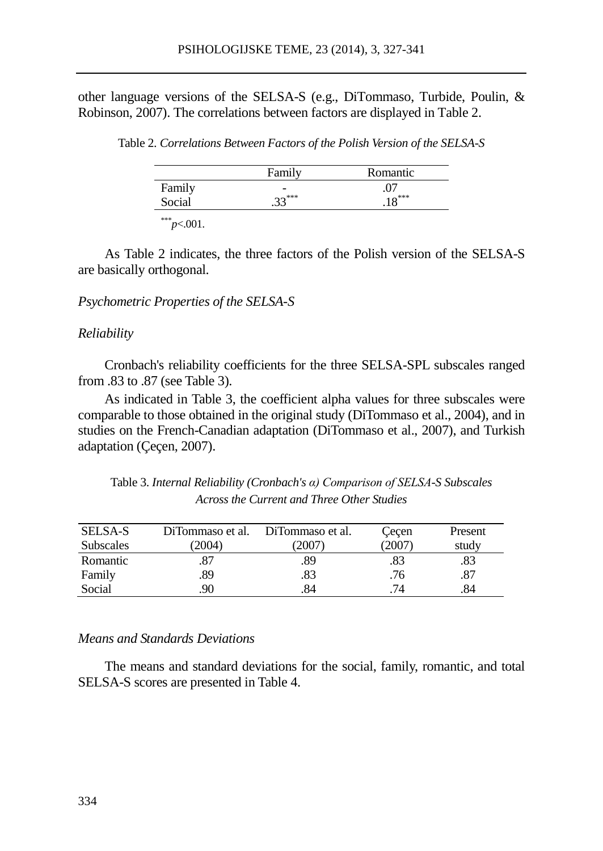other language versions of the SELSA-S (e.g., DiTommaso, Turbide, Poulin, & Robinson, 2007). The correlations between factors are displayed in Table 2.

Table 2. *Correlations Between Factors of the Polish Version of the SELSA-S*

|        | Family         | Romantic |
|--------|----------------|----------|
| Family | $\overline{a}$ |          |
| Social | $.33***$       | $.18***$ |

 $*^{**}p<.001$ .

As Table 2 indicates, the three factors of the Polish version of the SELSA-S are basically orthogonal.

#### *Psychometric Properties of the SELSA-S*

#### *Reliability*

Cronbach's reliability coefficients for the three SELSA-SPL subscales ranged from .83 to .87 (see Table 3).

As indicated in Table 3, the coefficient alpha values for three subscales were comparable to those obtained in the original study (DiTommaso et al., 2004), and in studies on the French-Canadian adaptation (DiTommaso et al., 2007), and Turkish adaptation (Çeçen, 2007).

Table 3. *Internal Reliability (Cronbach's α) Comparison of SELSA-S Subscales Across the Current and Three Other Studies*

| <b>SELSA-S</b> | DiTommaso et al. | DiTommaso et al. | Cecen | Present |
|----------------|------------------|------------------|-------|---------|
| Subscales      | (2004)           | 2007)            | 2007  | study   |
| Romantic       | .87              | .89              | .83   | .83     |
| Family         | .89              | .83              | .76   | .87     |
| Social         | 90               | .84              | 74    | .84     |

## *Means and Standards Deviations*

The means and standard deviations for the social, family, romantic, and total SELSA-S scores are presented in Table 4.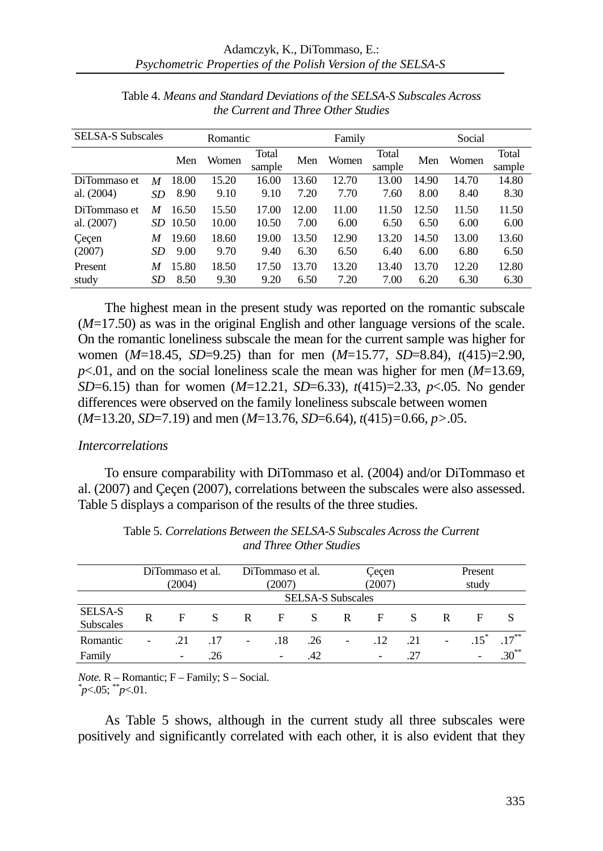| <b>SELSA-S Subscales</b> |     | Romantic | Family |                 |       |       | Social          |       |       |                 |
|--------------------------|-----|----------|--------|-----------------|-------|-------|-----------------|-------|-------|-----------------|
|                          |     | Men      | Women  | Total<br>sample | Men   | Women | Total<br>sample | Men   | Women | Total<br>sample |
| DiTommaso et             | M   | 18.00    | 15.20  | 16.00           | 13.60 | 12.70 | 13.00           | 14.90 | 14.70 | 14.80           |
| al. (2004)               | SD  | 8.90     | 9.10   | 9.10            | 7.20  | 7.70  | 7.60            | 8.00  | 8.40  | 8.30            |
| DiTommaso et             | M   | 16.50    | 15.50  | 17.00           | 12.00 | 11.00 | 11.50           | 12.50 | 11.50 | 11.50           |
| al. (2007)               | SD. | 10.50    | 10.00  | 10.50           | 7.00  | 6.00  | 6.50            | 6.50  | 6.00  | 6.00            |
| Cecen                    | M   | 19.60    | 18.60  | 19.00           | 13.50 | 12.90 | 13.20           | 14.50 | 13.00 | 13.60           |
| (2007)                   | SD  | 9.00     | 9.70   | 9.40            | 6.30  | 6.50  | 6.40            | 6.00  | 6.80  | 6.50            |
| Present                  | M   | 15.80    | 18.50  | 17.50           | 13.70 | 13.20 | 13.40           | 13.70 | 12.20 | 12.80           |
| study                    | SD  | 8.50     | 9.30   | 9.20            | 6.50  | 7.20  | 7.00            | 6.20  | 6.30  | 6.30            |

Table 4. *Means and Standard Deviations of the SELSA-S Subscales Across the Current and Three Other Studies*

The highest mean in the present study was reported on the romantic subscale (*M*=17.50) as was in the original English and other language versions of the scale. On the romantic loneliness subscale the mean for the current sample was higher for women (*M*=18.45, *SD*=9.25) than for men (*M*=15.77, *SD*=8.84), *t*(415)=2.90, *p*<.01, and on the social loneliness scale the mean was higher for men (*M*=13.69, *SD*=6.15) than for women (*M*=12.21, *SD*=6.33), *t*(415)=2.33, *p*<.05. No gender differences were observed on the family loneliness subscale between women (*M*=13.20, *SD*=7.19) and men (*M*=13.76, *SD*=6.64), *t*(415)*=*0.66, *p>*.05.

## *Intercorrelations*

To ensure comparability with DiTommaso et al. (2004) and/or DiTommaso et al. (2007) and Çeçen (2007), correlations between the subscales were also assessed. Table 5 displays a comparison of the results of the three studies.

|                             | DiTommaso et al.<br>(2004) |                          |     | DiTommaso et al.<br>(2007) |     | Cecen<br>(2007)          |                          | Present<br>study         |     |   |   |            |
|-----------------------------|----------------------------|--------------------------|-----|----------------------------|-----|--------------------------|--------------------------|--------------------------|-----|---|---|------------|
|                             |                            |                          |     |                            |     | <b>SELSA-S Subscales</b> |                          |                          |     |   |   |            |
| SELSA-S<br><b>Subscales</b> | R                          | F                        | S   | R                          | F   | <b>S</b>                 | R                        | F                        |     | R | F |            |
| Romantic                    |                            | .21                      | .17 | $\overline{a}$             | .18 | .26                      | $\overline{\phantom{a}}$ | .12                      | .21 |   |   | $17***$    |
| Family                      |                            | $\overline{\phantom{0}}$ | .26 |                            |     | .42                      |                          | $\overline{\phantom{a}}$ | .27 |   |   | $.30^{**}$ |

Table 5. *Correlations Between the SELSA-S Subscales Across the Current and Three Other Studies*

*Note.* R – Romantic; F – Family; S – Social. *\**  $p<05$ ;  $p<01$ .

As Table 5 shows, although in the current study all three subscales were positively and significantly correlated with each other, it is also evident that they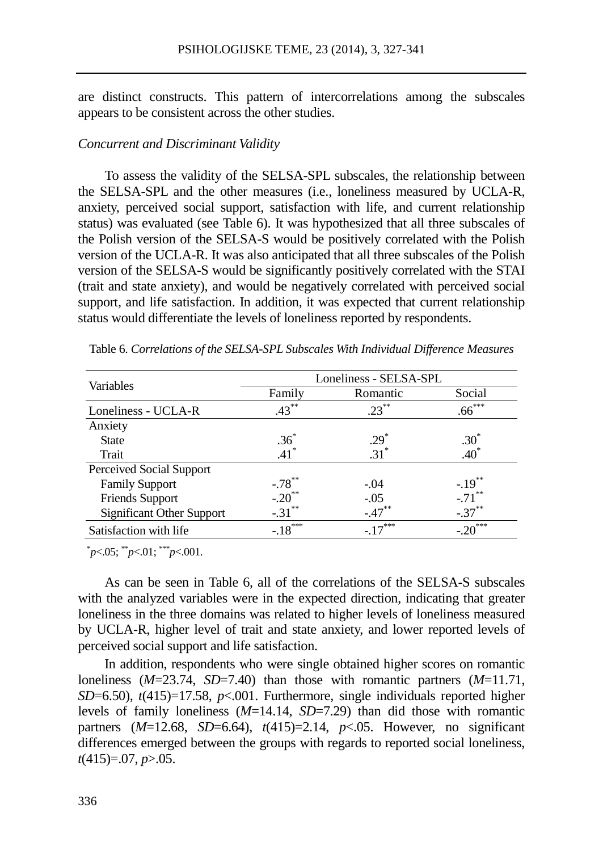are distinct constructs. This pattern of intercorrelations among the subscales appears to be consistent across the other studies.

#### *Concurrent and Discriminant Validity*

To assess the validity of the SELSA-SPL subscales, the relationship between the SELSA-SPL and the other measures (i.e., loneliness measured by UCLA-R, anxiety, perceived social support, satisfaction with life, and current relationship status) was evaluated (see Table 6). It was hypothesized that all three subscales of the Polish version of the SELSA-S would be positively correlated with the Polish version of the UCLA-R. It was also anticipated that all three subscales of the Polish version of the SELSA-S would be significantly positively correlated with the STAI (trait and state anxiety), and would be negatively correlated with perceived social support, and life satisfaction. In addition, it was expected that current relationship status would differentiate the levels of loneliness reported by respondents.

|                                  | Loneliness - SELSA-SPL |           |                     |  |  |  |
|----------------------------------|------------------------|-----------|---------------------|--|--|--|
| Variables                        | Family                 | Romantic  | Social              |  |  |  |
| Loneliness - UCLA-R              | $.43***$               | $23^{**}$ | $.66***$            |  |  |  |
| Anxiety                          |                        |           |                     |  |  |  |
| <b>State</b>                     | .36 <sup>°</sup>       | $.29*$    | $.30^{\degree}$     |  |  |  |
| Trait                            | $41*$                  | $.31*$    | $.40*$              |  |  |  |
| Perceived Social Support         |                        |           |                     |  |  |  |
| <b>Family Support</b>            | $-.78***$              | $-.04$    | $-.19***$           |  |  |  |
| <b>Friends Support</b>           | $-.20$ <sup>**</sup>   | $-.05$    | $-.71$ <sup>*</sup> |  |  |  |
| <b>Significant Other Support</b> | $-31^{**}$             | $-.47***$ | $-.37***$           |  |  |  |
| Satisfaction with life           | $-18$ <sup>***</sup>   | $17***$   | ***                 |  |  |  |

Table 6. *Correlations of the SELSA-SPL Subscales With Individual Difference Measures*

\* *p*<.05; \*\**p*<.01; \*\*\**p*<.001.

As can be seen in Table 6, all of the correlations of the SELSA-S subscales with the analyzed variables were in the expected direction, indicating that greater loneliness in the three domains was related to higher levels of loneliness measured by UCLA-R, higher level of trait and state anxiety, and lower reported levels of perceived social support and life satisfaction.

In addition, respondents who were single obtained higher scores on romantic loneliness (*M*=23.74, *SD*=7.40) than those with romantic partners (*M*=11.71, *SD*=6.50), *t*(415)=17.58, *p*<.001. Furthermore, single individuals reported higher levels of family loneliness (*M*=14.14, *SD*=7.29) than did those with romantic partners  $(M=12.68, SD=6.64)$ ,  $t(415)=2.14$ ,  $p<0.05$ . However, no significant differences emerged between the groups with regards to reported social loneliness, *t*(415)=.07, *p*>.05.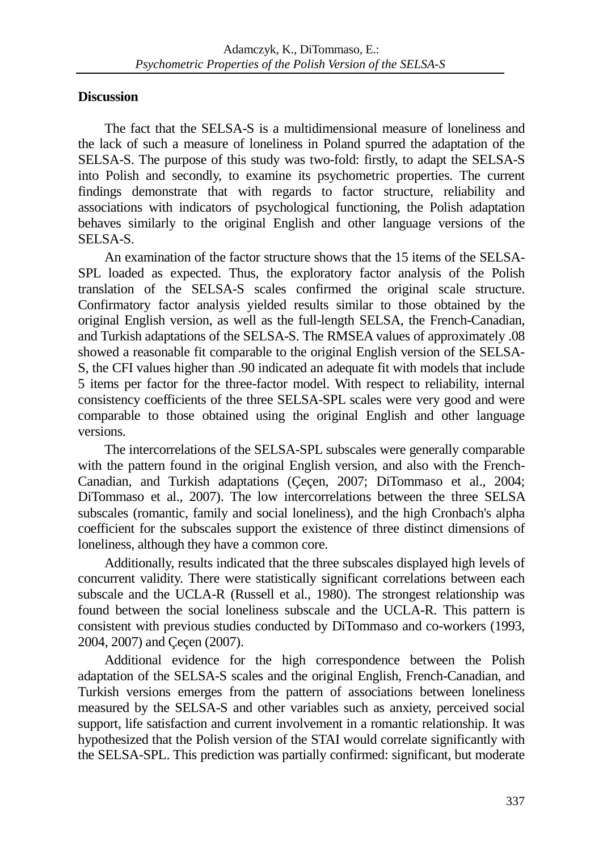## **Discussion**

The fact that the SELSA-S is a multidimensional measure of loneliness and the lack of such a measure of loneliness in Poland spurred the adaptation of the SELSA-S. The purpose of this study was two-fold: firstly, to adapt the SELSA-S into Polish and secondly, to examine its psychometric properties. The current findings demonstrate that with regards to factor structure, reliability and associations with indicators of psychological functioning, the Polish adaptation behaves similarly to the original English and other language versions of the SELSA-S.

An examination of the factor structure shows that the 15 items of the SELSA-SPL loaded as expected. Thus, the exploratory factor analysis of the Polish translation of the SELSA-S scales confirmed the original scale structure. Confirmatory factor analysis yielded results similar to those obtained by the original English version, as well as the full-length SELSA, the French-Canadian, and Turkish adaptations of the SELSA-S. The RMSEA values of approximately .08 showed a reasonable fit comparable to the original English version of the SELSA-S, the CFI values higher than .90 indicated an adequate fit with models that include 5 items per factor for the three-factor model. With respect to reliability, internal consistency coefficients of the three SELSA-SPL scales were very good and were comparable to those obtained using the original English and other language versions.

The intercorrelations of the SELSA-SPL subscales were generally comparable with the pattern found in the original English version, and also with the French-Canadian, and Turkish adaptations (Çeçen, 2007; DiTommaso et al., 2004; DiTommaso et al., 2007). The low intercorrelations between the three SELSA subscales (romantic, family and social loneliness), and the high Cronbach's alpha coefficient for the subscales support the existence of three distinct dimensions of loneliness, although they have a common core.

Additionally, results indicated that the three subscales displayed high levels of concurrent validity. There were statistically significant correlations between each subscale and the UCLA-R (Russell et al., 1980). The strongest relationship was found between the social loneliness subscale and the UCLA-R. This pattern is consistent with previous studies conducted by DiTommaso and co-workers (1993, 2004, 2007) and Çeçen (2007).

Additional evidence for the high correspondence between the Polish adaptation of the SELSA-S scales and the original English, French-Canadian, and Turkish versions emerges from the pattern of associations between loneliness measured by the SELSA-S and other variables such as anxiety, perceived social support, life satisfaction and current involvement in a romantic relationship. It was hypothesized that the Polish version of the STAI would correlate significantly with the SELSA-SPL. This prediction was partially confirmed: significant, but moderate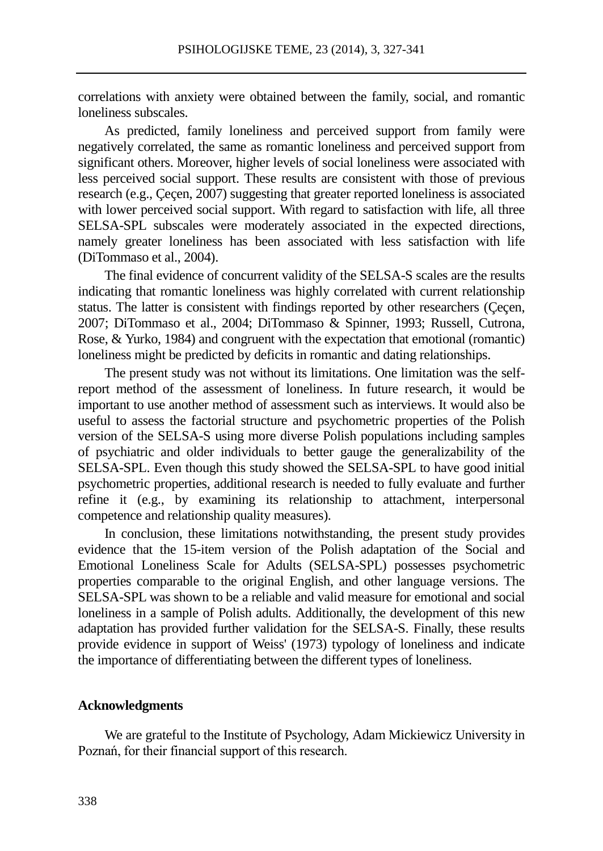correlations with anxiety were obtained between the family, social, and romantic loneliness subscales.

As predicted, family loneliness and perceived support from family were negatively correlated, the same as romantic loneliness and perceived support from significant others. Moreover, higher levels of social loneliness were associated with less perceived social support. These results are consistent with those of previous research (e.g., Çeçen, 2007) suggesting that greater reported loneliness is associated with lower perceived social support. With regard to satisfaction with life, all three SELSA-SPL subscales were moderately associated in the expected directions, namely greater loneliness has been associated with less satisfaction with life (DiTommaso et al., 2004).

The final evidence of concurrent validity of the SELSA-S scales are the results indicating that romantic loneliness was highly correlated with current relationship status. The latter is consistent with findings reported by other researchers (Çeçen, 2007; DiTommaso et al., 2004; DiTommaso & Spinner, 1993; Russell, Cutrona, Rose, & Yurko, 1984) and congruent with the expectation that emotional (romantic) loneliness might be predicted by deficits in romantic and dating relationships.

The present study was not without its limitations. One limitation was the selfreport method of the assessment of loneliness. In future research, it would be important to use another method of assessment such as interviews. It would also be useful to assess the factorial structure and psychometric properties of the Polish version of the SELSA-S using more diverse Polish populations including samples of psychiatric and older individuals to better gauge the generalizability of the SELSA-SPL. Even though this study showed the SELSA-SPL to have good initial psychometric properties, additional research is needed to fully evaluate and further refine it (e.g., by examining its relationship to attachment, interpersonal competence and relationship quality measures).

In conclusion, these limitations notwithstanding, the present study provides evidence that the 15-item version of the Polish adaptation of the Social and Emotional Loneliness Scale for Adults (SELSA-SPL) possesses psychometric properties comparable to the original English, and other language versions. The SELSA-SPL was shown to be a reliable and valid measure for emotional and social loneliness in a sample of Polish adults. Additionally, the development of this new adaptation has provided further validation for the SELSA-S. Finally, these results provide evidence in support of Weiss' (1973) typology of loneliness and indicate the importance of differentiating between the different types of loneliness.

#### **Acknowledgments**

We are grateful to the Institute of Psychology, Adam Mickiewicz University in Poznań, for their financial support of this research.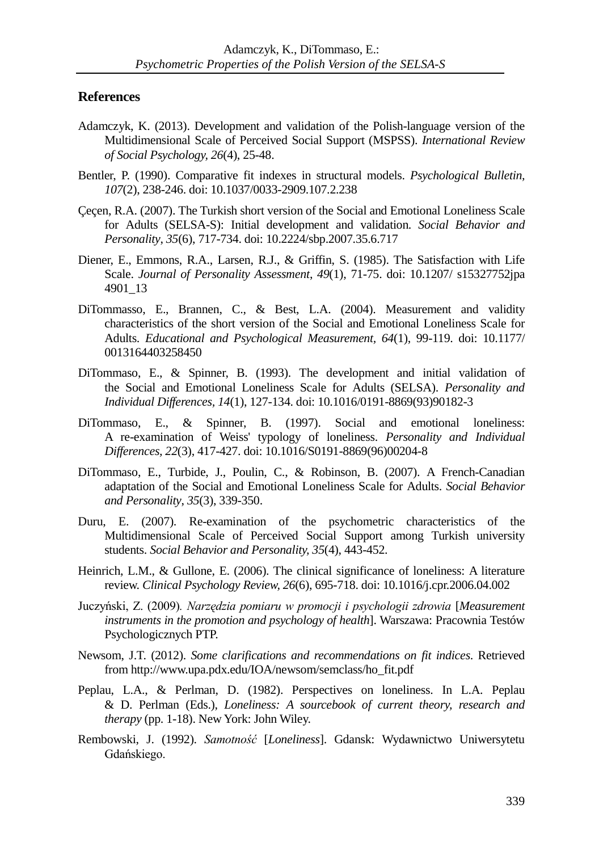## **References**

- Adamczyk, K. (2013). Development and validation of the Polish-language version of the Multidimensional Scale of Perceived Social Support (MSPSS). *International Review of Social Psychology, 26*(4), 25-48.
- Bentler, P. (1990). Comparative fit indexes in structural models. *Psychological Bulletin, 107*(2), 238-246. doi: 10.1037/0033-2909.107.2.238
- Çeçen, R.A. (2007). The Turkish short version of the Social and Emotional Loneliness Scale for Adults (SELSA-S): Initial development and validation. *Social Behavior and Personality*, *35*(6), 717-734. doi: 10.2224/sbp.2007.35.6.717
- Diener, E., Emmons, R.A., Larsen, R.J., & Griffin, S. (1985). The Satisfaction with Life Scale. *Journal of Personality Assessment*, *49*(1), 71-75. doi: 10.1207/ s15327752jpa 4901\_13
- DiTommasso, E., Brannen, C., & Best, L.A. (2004). Measurement and validity characteristics of the short version of the Social and Emotional Loneliness Scale for Adults. *Educational and Psychological Measurement, 64*(1), 99-119. doi: 10.1177/ 0013164403258450
- DiTommaso, E., & Spinner, B. (1993). The development and initial validation of the Social and Emotional Loneliness Scale for Adults (SELSA). *Personality and Individual Differences, 14*(1), 127-134. doi: 10.1016/0191-8869(93)90182-3
- DiTommaso, E., & Spinner, B. (1997). Social and emotional loneliness: A re-examination of Weiss' typology of loneliness. *Personality and Individual Differences, 22*(3), 417-427. doi: 10.1016/S0191-8869(96)00204-8
- DiTommaso, E., Turbide, J., Poulin, C., & Robinson, B. (2007). A French-Canadian adaptation of the Social and Emotional Loneliness Scale for Adults. *Social Behavior and Personality*, *35*(3), 339-350.
- Duru, E. (2007). Re-examination of the psychometric characteristics of the Multidimensional Scale of Perceived Social Support among Turkish university students. *Social Behavior and Personality, 35*(4), 443-452.
- Heinrich, L.M., & Gullone, E. (2006). The clinical significance of loneliness: A literature review. *Clinical Psychology Review, 26*(6), 695-718. doi: 10.1016/j.cpr.2006.04.002
- Juczyński, Z. (2009)*. Narzędzia pomiaru w promocji i psychologii zdrowia* [*Measurement instruments in the promotion and psychology of health*]. Warszawa: Pracownia Testów Psychologicznych PTP.
- Newsom, J.T. (2012). *Some clarifications and recommendations on fit indices*. Retrieved from http://www.upa.pdx.edu/IOA/newsom/semclass/ho\_fit.pdf
- Peplau, L.A., & Perlman, D. (1982). Perspectives on loneliness. In L.A. Peplau & D. Perlman (Eds.), *Loneliness: A sourcebook of current theory, research and therapy* (pp. 1-18). New York: John Wiley.
- Rembowski, J. (1992). *Samotność* [*Loneliness*]. Gdansk: Wydawnictwo Uniwersytetu Gdańskiego.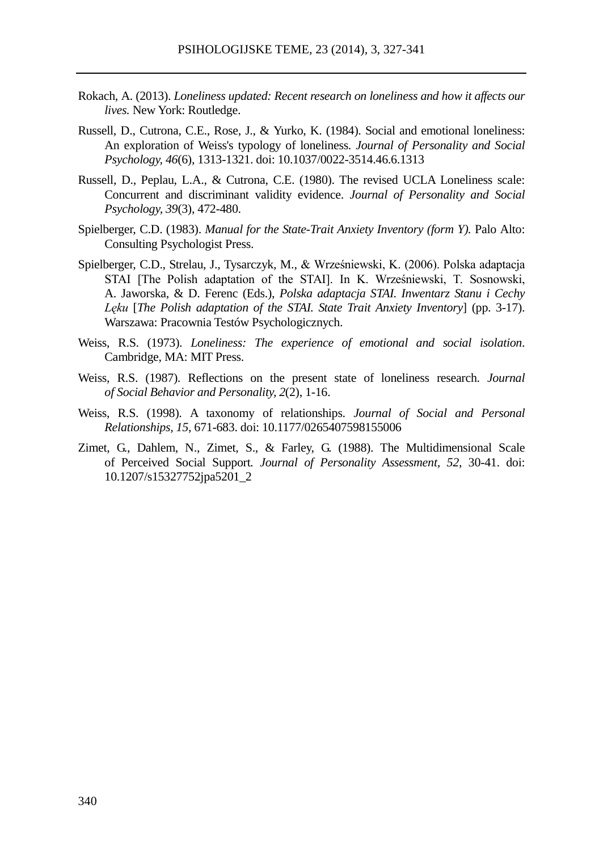- Rokach, A. (2013). *Loneliness updated: Recent research on loneliness and how it affects our lives.* New York: Routledge.
- Russell, D., Cutrona, C.E., Rose, J., & Yurko, K. (1984). Social and emotional loneliness: An exploration of Weiss's typology of loneliness. *Journal of Personality and Social Psychology, 46*(6), 1313-1321. doi: 10.1037/0022-3514.46.6.1313
- Russell, D., Peplau, L.A., & Cutrona, C.E. (1980). The revised UCLA Loneliness scale: Concurrent and discriminant validity evidence. *Journal of Personality and Social Psychology, 39*(3), 472-480.
- Spielberger, C.D. (1983). *Manual for the State-Trait Anxiety Inventory (form Y).* Palo Alto: Consulting Psychologist Press.
- Spielberger, C.D., Strelau, J., Tysarczyk, M., & Wrześniewski, K. (2006). Polska adaptacja STAI [The Polish adaptation of the STAI]. In K. Wrześniewski, T. Sosnowski, A. Jaworska, & D. Ferenc (Eds.), *Polska adaptacja STAI. Inwentarz Stanu i Cechy Lęku* [*The Polish adaptation of the STAI. State Trait Anxiety Inventory*] (pp. 3-17). Warszawa: Pracownia Testów Psychologicznych.
- Weiss, R.S. (1973). *Loneliness: The experience of emotional and social isolation*. Cambridge, MA: MIT Press.
- Weiss, R.S. (1987). Reflections on the present state of loneliness research. *Journal of Social Behavior and Personality, 2*(2), 1-16.
- Weiss, R.S. (1998). A taxonomy of relationships. *Journal of Social and Personal Relationships, 15*, 671-683. doi: 10.1177/0265407598155006
- Zimet, G., Dahlem, N., Zimet, S., & Farley, G. (1988). The Multidimensional Scale of Perceived Social Support*. Journal of Personality Assessment, 52*, 30-41. doi: 10.1207/s15327752jpa5201\_2